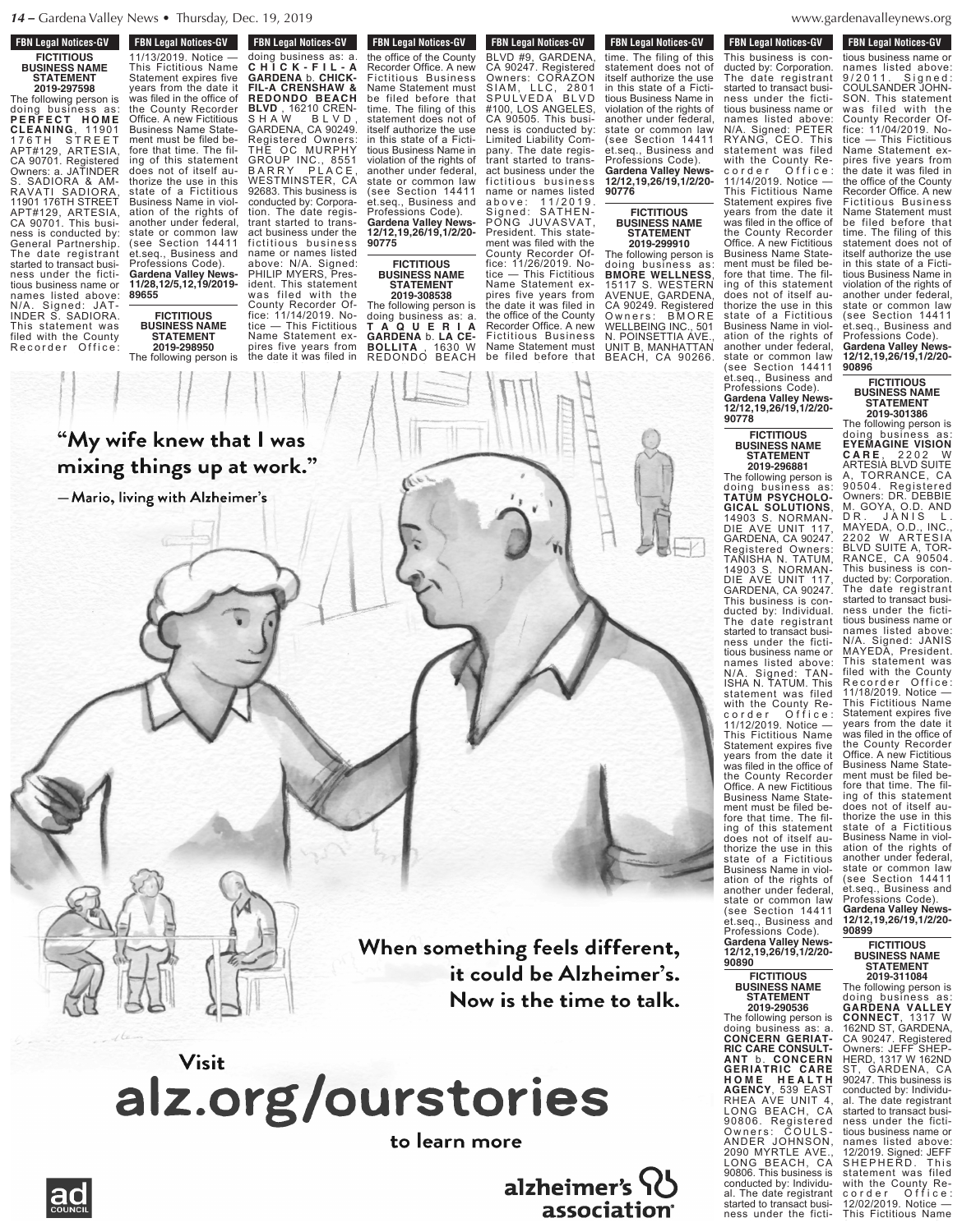**FBN Legal Notices-GV** 

**F DIN LEGAL NULLES-CIV** 11/13/2019. Notice — This Fictitious Name

**FBN Legal Notices-GV FICTITIOUS BUSINESS NAME STATEMENT 2019-297598**

The following person is doing business as: **P E R F E C T H O M E CLEANING**, 11901 176TH STREET APT#129, ARTESIA, CA 90701. Registered Owners: a. JATINDER S. SADIORA & AM-RAVATI SADIORA, 11901 176TH STREET APT#129, ARTESIA, CA 90701. This business is conducted by: General Partnership. The date registrant started to transact business under the fictitious business name or names listed above: N/A. Signed: JAT-INDER S. SADIORA. This statement was filed with the County Recorder Office

This Fictitious Name Statement expires five years from the date it  $\mathcal{L} = \{ \mathbf{f} \mid \mathbf{f} \in \mathcal{I} \}$ the County Recorder



### **FICTITIOUS BUSINESS NAME STATEMENT 2019-298950**

doing business as: a. **C H I C K - F I L - A C FIL-A CRENSHAW & REDONDO BEACH**

**The Following Person is a following person in the following person in the following person is a following person in the following person in the following person is a following person in the following person in the followi** doing business as: a. **C H I C K - F I L - A GARDENA** b. **CHICK-FIL-A CRENSHAW & REDONDO BEACH BLVD** , 16210 CREN-S H A W B L V D , GARDENA, CA 90249. Registered Owners: THE OC MURPHY GROUP INC., 8551 B A R R Y P L A C E , WESTMINSTER, CA 92683. This business is conducted by: Corporation. The date registrant started to transact business under the fictitious business name or names listed above: N/A. Signed: PHILIP MYERS, President. This statement

 $\mathbb{R}$  $\mathbb{F}$   $\mathbb{F}$  $\mathbb{R}$  statement must be  $\mathbb{R}$  $\mathbf{f}$ 

**FBN Legal Notices-GV 2019-298950**

#### was filed with the County Recorder Office: 11/14/2019. Notice — This Fictitious Name Statement expires five years from The following person is

#### **2019-308538** The following person is doing business as: a. **T A Q U E R I A** GARDENA **b.** LA CE-<br>BOLLITA 1630 W **BOLLITA** , 1630 W REDONDO BEACH  $\mathbf{B}$ the date it was filed in the office of the County of the County of the County of the County of the County of the County of the County of

**90775**

**FICTITIOUS**

**STATEMENT**

 $\left| \cdot \right|$  $\theta$  $\left| \begin{array}{c} \end{array} \right|$  $\mathbb{R}$  $A \rightarrow A$  $\frac{1}{2}$   $\frac{1}{2}$   $\frac{1}{2}$   $\frac{1}{2}$   $\frac{1}{2}$   $\frac{1}{2}$ ness is conducted by:

**FBN Legal Notices-GV REDIGERED BEACH INCORPORATION** BLVD #9, GARDENA, CA 90247. Registered Owners: CORAZON SIAM, LLC, 2801 SPULVEDA BLVD #100, LOS ANGELES, CA 90505. This business is conducted by: Limited Liability Company. The date registrant started to transact business under the fictitious business name or names listed a b o v e : 1 1 / 2 0 1 9 . Signed: SATHEN-PONG JUVASVAT, President. This state-**FBN Legal Notices-GV THE DATE CONCRETE IT WAS FILM OF A THE DATE** the office of the County Recorder Office. A new Fictitious Business Name Statement must be filed before that time. The filing of this statement does not of itself authorize the use in this state of a Fictitious Business Name in violation of the rights of another under federal, state or common law (see Section 14411 et.seq., Business and Professions Code). **Gardena Valley News-12/12,19,26/19,1/2/20- BUSINESS NAME**

# ment was filed with the County Recorder Office: 11/26/2019. Notice — This Fictitious Name Statement expires five years from the date it was filed in the office of the County Recorder Office. A new Fictitious Business

Name Statement must be filed before that time. The filing of this  $s_{\rm{re}}$  and  $s_{\rm{de}}$  $\frac{1}{2}$  $i$ in  $\mathbb{R}$   $\mathbb{N}$ tious Business Name in violation of the rights of another under federal, state or common law

FBN Leyal NULLES-UV time. The filing of this statement does not of itself authorize the use in this state of a Fictitious Business Name in violation of the rights of another under federal, state or common law (see Section 14411 et.seq., Business and Professions Code). **Gardena Valley News-12/12,19,26/19,1/2/20- 90776**

# **FICTITIOUS BUSINESS NAME STATEMENT**

**2019-299910** The following person is doing business as: **BMORE WELLNESS**, 15117 S. WESTERN AVENUE, GARDENA, CA 90249. Registered Owners: BMORE WELLBEING INC., 501 N. POINSETTIA AVE., UNIT B, MANHATTAN BEACH, CA 90266.

names listed above: N/A. Signed: PETER RYANG, CEO. This  $\mathbb{R}$  statement was filed was filed was filed was filed was filed was filed was filed was filed was filed was filed was filed was filed was filed was filed was filed was filed was filed was filed was filed was filed wa with the County Rec o r d e r O f i c e r O f i c e s  $1 - 1$  $T = \sqrt{2\pi}$ 

denavalleynews.org  $arctan$   $\frac{1}{2}$  $WWW, \overline{9}i$ n. points and the set of the set of the set of the set of the set of the set of the set of the set of the set o

**FBN Legal Notices-GV FON LEGAL NUMBERS-CIV** This business is conducted by: Corporation. The date registrant started to transact business under the fictitious business name or names listed above: N/A. Signed: PETER RYANG, CEO. This statement was filed with the County Recorder Office: 11/14/2019. Notice — This Fictitious Name Statement expires five years from the date it was filed in the office of the County Recorder Office. A new Fictitious Business Name Statement must be filed before that time. The filing of this statement does not of itself authorize the use in this state of a Fictitious Business Name in violation of the rights of another under federal, state or common law (see Section 14411 et.seq., Business and Professions Code). **Gardena Valley News-FBN Legal Notices-GV** 

#### **FICTITIOUS BUSINESS NAME STATEMENT 2019-296881**

**12/12,19,26/19,1/2/20-**

**90778**

The following person is doing business as: **TATUM PSYCHOLO-GICAL SOLUTIONS**, 14903 S. NORMAN-DIE AVE UNIT 117, GARDENA, CA 90247. Registered Owners: TANISHA N. TATUM, 14903 S. NORMAN-DIE AVE UNIT 117, GARDENA, CA 90247. This business is conducted by: Individual. The date registrant started to transact business under the fictitious business name or names listed above: N/A. Signed: TAN-ISHA N. TATUM. This statement was filed with the County Recorder Office: 11/12/2019. Notice — This Fictitious Name Statement expires five years from the date it was filed in the office of the County Recorder Office. A new Fictitious Business Name Statement must be filed before that time. The filing of this statement does not of itself authorize the use in this state of a Fictitious Business Name in violation of the rights of another under federal, state or common law (see Section 14411 et.seq., Business and Professions Code). **Gardena Valley News-12/12,19,26/19,1/2/20- 90890**

#### **FICTITIOUS BUSINESS NAME STATEMENT 2019-290536**

The following person is doing business as: a. **CONCERN GERIAT-RIC CARE CONSULT-ANT** b. **CONCERN GERIATRIC CARE H O M E H E A L T H AGENCY**, 539 EAST RHEA AVE UNIT 4, LONG BEACH, CA 90806. Registered Owners: COULS-ANDER JOHNSON, 2090 MYRTLE AVE., LONG BEACH, CA 90806. This business is conducted by: Individual. The date registrant started to transact business under the ficti-

**FBN Legal Notices-GV FIGURE 1998 EDIT LEGAL MULLES-GV** tious business name or names listed above: 9/2011. Signed: COULSANDER JOHN-SON. This statement was filed with the County Recorder Office: 11/04/2019. Notice — This Fictitious Name Statement expires five years from the date it was filed in the office of the County Recorder Office. A new Fictitious Business Name Statement must be filed before that time. The filing of this statement does not of itself authorize the use in this state of a Fictitious Business Name in violation of the rights of another under federal, state or common law (see Section 14411 et.seq., Business and Professions Code). **Gardena Valley News-12/12,19,26/19,1/2/20-**

**FICTITIOUS BUSINESS NAME STATEMENT 2019-301386**

**90896**

The following person is doing business as: **EYEMAGINE VISION C A R E** , 2 2 0 2 W ARTESIA BLVD SUITE A, TORRANCE, CA 90504. Registered Owners: DR. DEBBIE M. GOYA, O.D. AND DR. JANIS L. MAYEDA, O.D., INC., 2202 W ARTESIA BLVD SUITE A, TOR-RANCE, CA 90504. This business is conducted by: Corporation. The date registrant started to transact business under the fictitious business name or names listed above: N/A. Signed: JANIS MAYEDA, President. This statement was filed with the County Recorder Office: 11/18/2019. Notice — This Fictitious Name Statement expires five years from the date it was filed in the office of the County Recorder Office. A new Fictitious Business Name Statement must be filed before that time. The filing of this statement does not of itself authorize the use in this state of a Fictitious Business Name in violation of the rights of another under federal, state or common law (see Section 14411 et.seq., Business and Professions Code). **Gardena Valley News-**

**12/12,19,26/19,1/2/20- <sup>90899</sup>**

# **FICTITIOUS BUSINESS NAME STATEMENT 2019-311084**

The following person is doing business as: **GARDENA VALLEY**

**CONNECT**, 1317 W 162ND ST, GARDENA, CA 90247. Registered Owners: JEFF SHEP-HERD, 1317 W 162ND ST, GARDENA, CA 90247. This business is conducted by: Individual. The date registrant started to transact business under the fictitious business name or names listed above: 12/2019. Signed: JEFF SHEPHERD. This statement was filed with the County Recorder Office: 12/02/2019. Notice — This Fictitious Name

#### $t_1$  time. The filing of the filing of the filing of the filing of the filing of the filing of the filing of the filing of the filing of the filing of the filing of the filing of the filing of the filing of the filing of statement does not of : I was in this state of a Fictithings up at work."  $\epsilon$  ing with Alzheimer's  $\epsilon$  $\mathcal{S}$  H  $\mathcal{S}$  and  $\mathcal{S}$ te knew tha Grungs up a B A R R Y P L A C E , 92683. This business is conducted by: Corpora- $\mathcal{L}$ mv w fore that time. The fil $min<sub>i</sub>$ does not of its little thorize the use in this  $A<sub>circ</sub>$  $P_{\text{total}}$  iversity,

 $\Box$  $t = t$ act business under the second state  $f(x) = \frac{1}{2}$ name or names listed  $\overline{\phantom{a}}$ PHILIP MYERS, President. The state of the state of the state of the state of the state of the state of the state of the state of the state of the state of the state of the state of the state of the state of the state of the state of the sta  $\mathbb{R}$  is the set of the set of the set of the set of the set of the set of the set of the set of the set of the set of the set of the set of the set of the set of the set of the set of the set of the set of the set of  $\Gamma$  $\bigcap$ tice and the state of the state of the state of the state of the state of the state of the state of the state of the state of the state of the state of the state of the state of the state of the state of the state of the s  $\blacksquare$  $\blacksquare$  $\frac{1}{\sqrt{2}}$  $\boldsymbol{\Lambda}$ Recorder Office. A new  $\blacksquare$  $\lambda$  $\mathcal{L}$  $\sim$   $\sim$ statement does not of

(see Section 14411 et.seq., Business and Professions Code). **Gardena Valley News-**

**90775**



When something feels different, it could be Alzheimer's. Now is the time to talk.

Visit alz.org/ourstories

to learn more

alzheimer's IO **association** 



 $\mathbf{S}$  $y = \alpha$  $\mathbf{1}$  in the office of  $\mathbf{1}$  $t \rightarrow t$  $\sim$  olid does not of itself authose the use in this term state of a Fictitious Business Name in violation of the rights of

another under federal, state or common law (see Section 1441) et.seq., Business and Professions Code). **Gardena Valley News-12/12,19,26/19,1/2/20-**